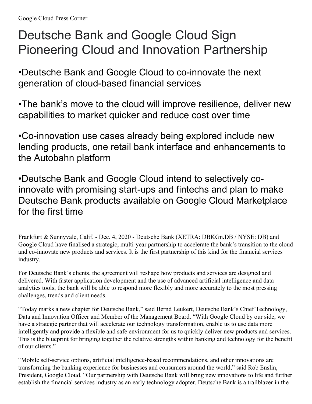## Deutsche Bank and Google Cloud Sign Pioneering Cloud and Innovation Partnership

•Deutsche Bank and Google Cloud to co-innovate the next generation of cloud-based financial services

•The bank's move to the cloud will improve resilience, deliver new capabilities to market quicker and reduce cost over time

•Co-innovation use cases already being explored include new lending products, one retail bank interface and enhancements to the Autobahn platform

•Deutsche Bank and Google Cloud intend to selectively coinnovate with promising start-ups and fintechs and plan to make Deutsche Bank products available on Google Cloud Marketplace for the first time

Frankfurt & Sunnyvale, Calif. - Dec. 4, 2020 - Deutsche Bank (XETRA: DBKGn.DB / NYSE: DB) and Google Cloud have finalised a strategic, multi-year partnership to accelerate the bank's transition to the cloud and co-innovate new products and services. It is the first partnership of this kind for the financial services industry.

For Deutsche Bank's clients, the agreement will reshape how products and services are designed and delivered. With faster application development and the use of advanced artificial intelligence and data analytics tools, the bank will be able to respond more flexibly and more accurately to the most pressing challenges, trends and client needs.

"Today marks a new chapter for Deutsche Bank," said Bernd Leukert, Deutsche Bank's Chief Technology, Data and Innovation Officer and Member of the Management Board. "With Google Cloud by our side, we have a strategic partner that will accelerate our technology transformation, enable us to use data more intelligently and provide a flexible and safe environment for us to quickly deliver new products and services. This is the blueprint for bringing together the relative strengths within banking and technology for the benefit of our clients."

"Mobile self-service options, artificial intelligence-based recommendations, and other innovations are transforming the banking experience for businesses and consumers around the world," said Rob Enslin, President, Google Cloud. "Our partnership with Deutsche Bank will bring new innovations to life and further establish the financial services industry as an early technology adopter. Deutsche Bank is a trailblazer in the